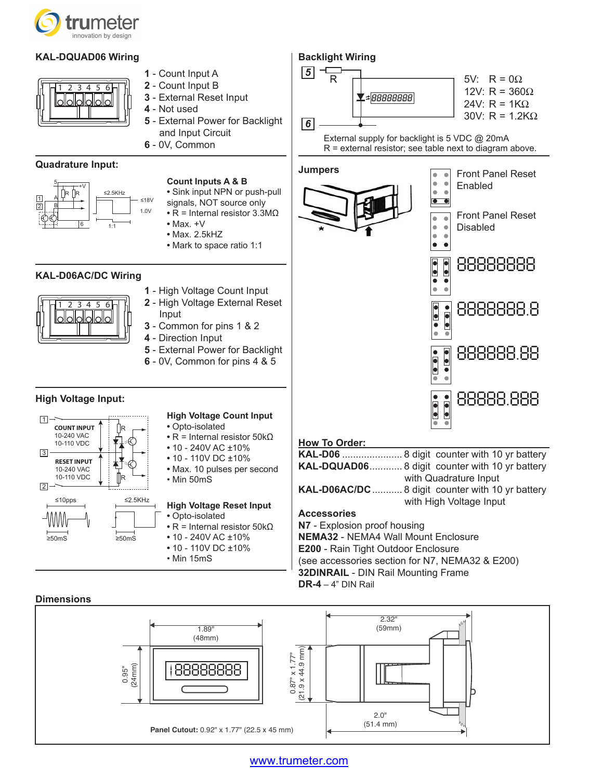

# **KAL-DQUAD06 Wiring**



- **1** Count Input A **2** - Count Input B
- **3** External Reset Input
- **4** Not used
- **5** External Power for Backlight and Input Circuit
- **6** 0V, Common

### **Quadrature Input:**



- **Count Inputs A & B**
- **•** Sink input NPN or push-pull
- signals, NOT source only
- **•** R = Internal resistor 3.3MΩ
- **•** Max. +V **•** Max. 2.5kHZ
- **•** Mark to space ratio 1:1

# **KAL-D06AC/DC Wiring**



- **1** High Voltage Count Input **2** - High Voltage External Reset
- Input **3** - Common for pins 1 & 2
- **4** Direction Input
- 
- **5** External Power for Backlight
- **6** 0V, Common for pins 4 & 5

# **High Voltage Input:**



#### **High Voltage Count Input**

- **•** Opto-isolated
- **•** R = Internal resistor 50kΩ
- **•** 10 240V AC ±10%
- **•** 10 110V DC ±10%
- **•** Max. 10 pulses per second • Min 50mS

#### **High Voltage Reset Input •** Opto-isolated

- **•** R = Internal resistor 50kΩ
- **•** 10 240V AC ±10%
- **•** 10 110V DC ±10%
- Min 15mS



#### **How To Order:**

**DR-4** – 4" DIN Rail

|                                                 | <b>KAL-DQUAD06 8 digit counter with 10 yr battery</b> |
|-------------------------------------------------|-------------------------------------------------------|
|                                                 | with Quadrature Input                                 |
|                                                 | KAL-D06AC/DC  8 digit counter with 10 yr battery      |
|                                                 | with High Voltage Input                               |
| <b>Accessories</b>                              |                                                       |
| N7 - Explosion proof housing                    |                                                       |
| <b>NEMA32 - NEMA4 Wall Mount Enclosure</b>      |                                                       |
| <b>E200 - Rain Tight Outdoor Enclosure</b>      |                                                       |
| (see accessories section for N7, NEMA32 & E200) |                                                       |
|                                                 |                                                       |

**32DINRAIL** - DIN Rail Mounting Frame

#### **Dimensions**



# www.trumeter.com

# **Backlight Wiring**